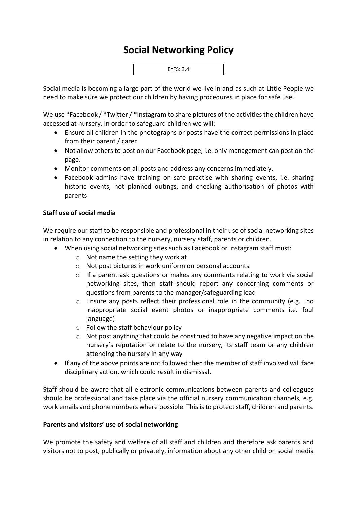## **Social Networking Policy**



Social media is becoming a large part of the world we live in and as such at Little People we need to make sure we protect our children by having procedures in place for safe use.

We use \*Facebook / \*Twitter / \*Instagram to share pictures of the activities the children have accessed at nursery. In order to safeguard children we will:

- Ensure all children in the photographs or posts have the correct permissions in place from their parent / carer
- Not allow others to post on our Facebook page, i.e. only management can post on the page.
- Monitor comments on all posts and address any concerns immediately.
- Facebook admins have training on safe practise with sharing events, i.e. sharing historic events, not planned outings, and checking authorisation of photos with parents

## **Staff use of social media**

We require our staff to be responsible and professional in their use of social networking sites in relation to any connection to the nursery, nursery staff, parents or children.

- When using social networking sites such as Facebook or Instagram staff must:
	- o Not name the setting they work at
	- o Not post pictures in work uniform on personal accounts.
	- o If a parent ask questions or makes any comments relating to work via social networking sites, then staff should report any concerning comments or questions from parents to the manager/safeguarding lead
	- o Ensure any posts reflect their professional role in the community (e.g. no inappropriate social event photos or inappropriate comments i.e. foul language)
	- o Follow the staff behaviour policy
	- o Not post anything that could be construed to have any negative impact on the nursery's reputation or relate to the nursery, its staff team or any children attending the nursery in any way
- If any of the above points are not followed then the member of staff involved will face disciplinary action, which could result in dismissal.

Staff should be aware that all electronic communications between parents and colleagues should be professional and take place via the official nursery communication channels, e.g. work emails and phone numbers where possible. This is to protect staff, children and parents.

## **Parents and visitors' use of social networking**

We promote the safety and welfare of all staff and children and therefore ask parents and visitors not to post, publically or privately, information about any other child on social media